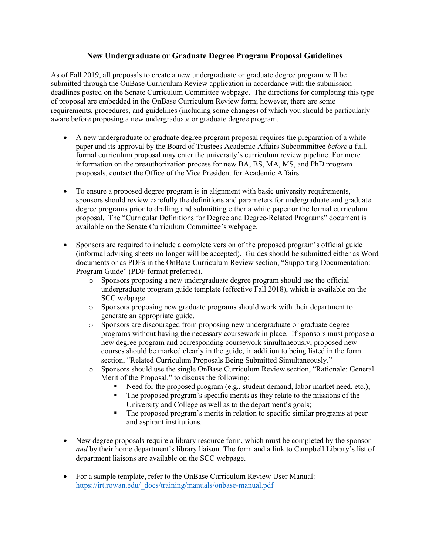# **New Undergraduate or Graduate Degree Program Proposal Guidelines**

As of Fall 2019, all proposals to create a new undergraduate or graduate degree program will be submitted through the OnBase Curriculum Review application in accordance with the submission deadlines posted on the Senate Curriculum Committee webpage. The directions for completing this type of proposal are embedded in the OnBase Curriculum Review form; however, there are some requirements, procedures, and guidelines (including some changes) of which you should be particularly aware before proposing a new undergraduate or graduate degree program.

- A new undergraduate or graduate degree program proposal requires the preparation of a white paper and its approval by the Board of Trustees Academic Affairs Subcommittee *before* a full, formal curriculum proposal may enter the university's curriculum review pipeline. For more information on the preauthorization process for new BA, BS, MA, MS, and PhD program proposals, contact the Office of the Vice President for Academic Affairs.
- To ensure a proposed degree program is in alignment with basic university requirements, sponsors should review carefully the definitions and parameters for undergraduate and graduate degree programs prior to drafting and submitting either a white paper or the formal curriculum proposal. The "Curricular Definitions for Degree and Degree-Related Programs" document is available on the Senate Curriculum Committee's webpage.
- Sponsors are required to include a complete version of the proposed program's official guide (informal advising sheets no longer will be accepted). Guides should be submitted either as Word documents or as PDFs in the OnBase Curriculum Review section, "Supporting Documentation: Program Guide" (PDF format preferred).
	- o Sponsors proposing a new undergraduate degree program should use the official undergraduate program guide template (effective Fall 2018), which is available on the SCC webpage.
	- o Sponsors proposing new graduate programs should work with their department to generate an appropriate guide.
	- o Sponsors are discouraged from proposing new undergraduate or graduate degree programs without having the necessary coursework in place. If sponsors must propose a new degree program and corresponding coursework simultaneously, proposed new courses should be marked clearly in the guide, in addition to being listed in the form section, "Related Curriculum Proposals Being Submitted Simultaneously."
	- o Sponsors should use the single OnBase Curriculum Review section, "Rationale: General Merit of the Proposal," to discuss the following:
		- Need for the proposed program (e.g., student demand, labor market need, etc.);
		- The proposed program's specific merits as they relate to the missions of the University and College as well as to the department's goals;
		- The proposed program's merits in relation to specific similar programs at peer and aspirant institutions.
- New degree proposals require a library resource form, which must be completed by the sponsor *and* by their home department's library liaison. The form and a link to Campbell Library's list of department liaisons are available on the SCC webpage.
- For a sample template, refer to the OnBase Curriculum Review User Manual: https://irt.rowan.edu/\_docs/training/manuals/onbase-manual.pdf